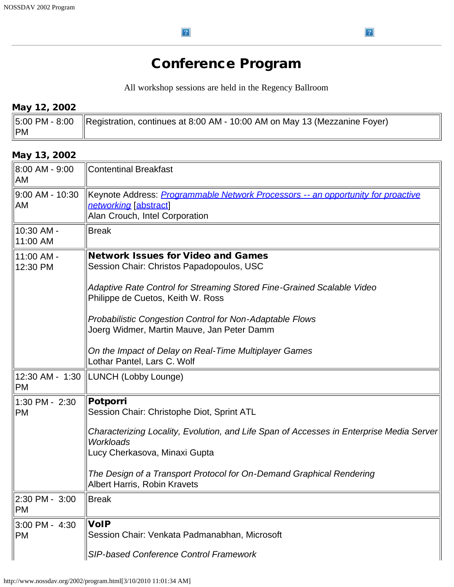$\left| \cdot \right\rangle$ 

## Conference Program

 $\left| \cdot \right\rangle$ 

All workshop sessions are held in the Regency Ballroom

## May 12, 2002

|                | $\parallel$ 5:00 PM - 8:00 $\parallel$ Registration, continues at 8:00 AM - 10:00 AM on May 13 (Mezzanine Foyer) |
|----------------|------------------------------------------------------------------------------------------------------------------|
| $\parallel$ PM |                                                                                                                  |

## May 13, 2002

| 8:00 AM - 9:00<br>AM        | <b>Contentinal Breakfast</b>                                                                                                                       |
|-----------------------------|----------------------------------------------------------------------------------------------------------------------------------------------------|
| 9:00 AM - 10:30<br>AM       | Keynote Address: <i>Programmable Network Processors -- an opportunity for proactive</i><br>networking [abstract]<br>Alan Crouch, Intel Corporation |
| 10:30 AM -<br>11:00 AM      | <b>Break</b>                                                                                                                                       |
| 11:00 AM -<br>12:30 PM      | <b>Network Issues for Video and Games</b><br>Session Chair: Christos Papadopoulos, USC                                                             |
|                             | Adaptive Rate Control for Streaming Stored Fine-Grained Scalable Video<br>Philippe de Cuetos, Keith W. Ross                                        |
|                             | <b>Probabilistic Congestion Control for Non-Adaptable Flows</b><br>Joerg Widmer, Martin Mauve, Jan Peter Damm                                      |
|                             | On the Impact of Delay on Real-Time Multiplayer Games<br>Lothar Pantel, Lars C. Wolf                                                               |
| <b>PM</b>                   | 12:30 AM - 1:30  LUNCH (Lobby Lounge)                                                                                                              |
| 1:30 PM - 2:30<br><b>PM</b> | Potporri<br>Session Chair: Christophe Diot, Sprint ATL                                                                                             |
|                             | Characterizing Locality, Evolution, and Life Span of Accesses in Enterprise Media Server<br><b>Workloads</b><br>Lucy Cherkasova, Minaxi Gupta      |
|                             | The Design of a Transport Protocol for On-Demand Graphical Rendering<br>Albert Harris, Robin Kravets                                               |
| 2:30 PM - 3:00<br><b>PM</b> | <b>Break</b>                                                                                                                                       |
| 3:00 PM - 4:30<br><b>PM</b> | $\sf{VolP}$<br>Session Chair: Venkata Padmanabhan, Microsoft                                                                                       |
|                             | SIP-based Conference Control Framework                                                                                                             |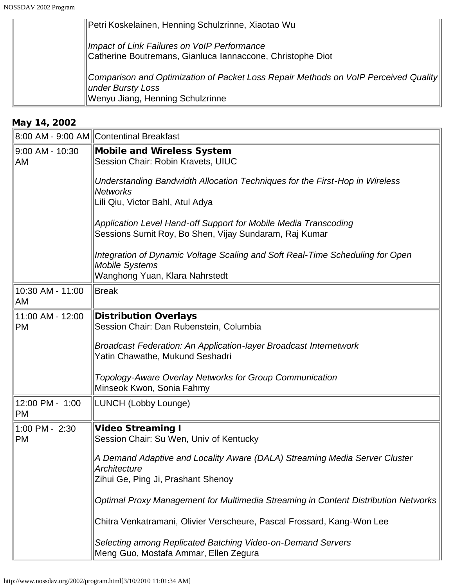| Petri Koskelainen, Henning Schulzrinne, Xiaotao Wu                                                                               |
|----------------------------------------------------------------------------------------------------------------------------------|
| Impact of Link Failures on VoIP Performance<br>Catherine Boutremans, Gianluca Iannaccone, Christophe Diot                        |
|                                                                                                                                  |
| $\parallel$ Comparison and Optimization of Packet Loss Repair Methods on VoIP Perceived Quality $\parallel$<br>under Bursty Loss |
| Wenyu Jiang, Henning Schulzrinne                                                                                                 |

## May 14, 2002

|                               | 8:00 AM - 9:00 AM Contentinal Breakfast                                                                                                  |
|-------------------------------|------------------------------------------------------------------------------------------------------------------------------------------|
| 9:00 AM - 10:30<br>AM         | <b>Mobile and Wireless System</b><br>Session Chair: Robin Kravets, UIUC                                                                  |
|                               | Understanding Bandwidth Allocation Techniques for the First-Hop in Wireless<br><b>Networks</b><br>Lili Qiu, Victor Bahl, Atul Adya       |
|                               | Application Level Hand-off Support for Mobile Media Transcoding<br>Sessions Sumit Roy, Bo Shen, Vijay Sundaram, Raj Kumar                |
|                               | Integration of Dynamic Voltage Scaling and Soft Real-Time Scheduling for Open<br><b>Mobile Systems</b><br>Wanghong Yuan, Klara Nahrstedt |
| 10:30 AM - 11:00<br>AM        | Break                                                                                                                                    |
| 11:00 AM - 12:00<br><b>PM</b> | <b>Distribution Overlays</b><br>Session Chair: Dan Rubenstein, Columbia                                                                  |
|                               | <b>Broadcast Federation: An Application-layer Broadcast Internetwork</b><br>Yatin Chawathe, Mukund Seshadri                              |
|                               | Topology-Aware Overlay Networks for Group Communication<br>Minseok Kwon, Sonia Fahmy                                                     |
| 12:00 PM - 1:00<br>PM         | LUNCH (Lobby Lounge)                                                                                                                     |
| 1:00 PM - 2:30<br>PM          | <b>Video Streaming I</b><br>Session Chair: Su Wen, Univ of Kentucky                                                                      |
|                               | A Demand Adaptive and Locality Aware (DALA) Streaming Media Server Cluster<br>Architecture                                               |
|                               | Zihui Ge, Ping Ji, Prashant Shenoy                                                                                                       |
|                               | Optimal Proxy Management for Multimedia Streaming in Content Distribution Networks                                                       |
|                               | Chitra Venkatramani, Olivier Verscheure, Pascal Frossard, Kang-Won Lee                                                                   |
|                               | Selecting among Replicated Batching Video-on-Demand Servers<br>Meng Guo, Mostafa Ammar, Ellen Zegura                                     |